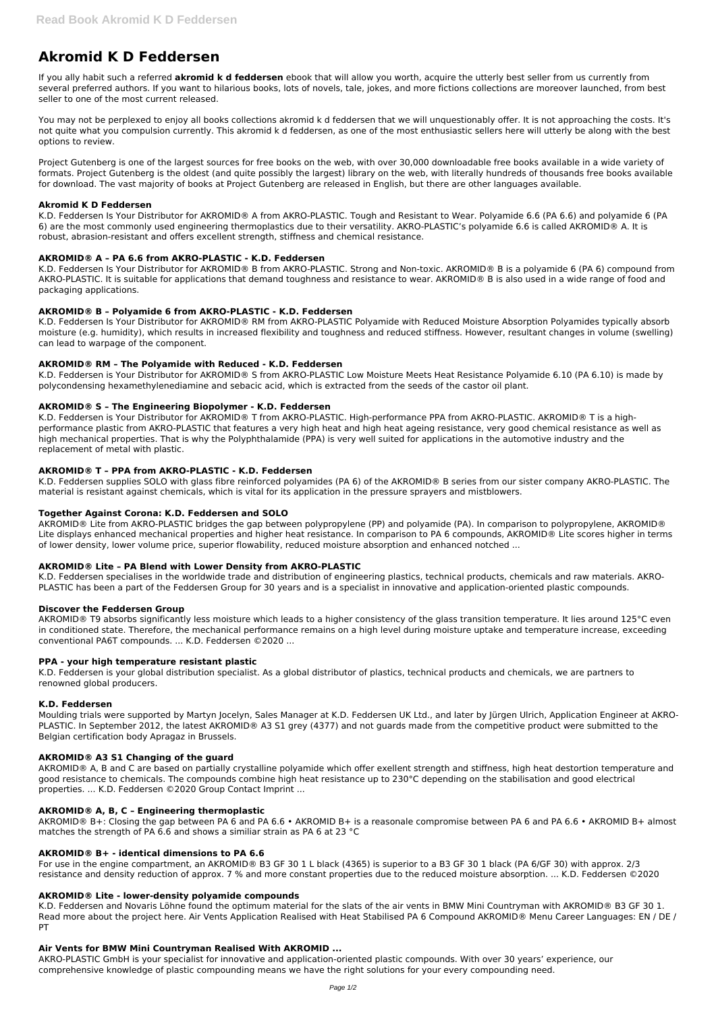# **Akromid K D Feddersen**

If you ally habit such a referred **akromid k d feddersen** ebook that will allow you worth, acquire the utterly best seller from us currently from several preferred authors. If you want to hilarious books, lots of novels, tale, jokes, and more fictions collections are moreover launched, from best seller to one of the most current released.

You may not be perplexed to enjoy all books collections akromid k d feddersen that we will unquestionably offer. It is not approaching the costs. It's not quite what you compulsion currently. This akromid k d feddersen, as one of the most enthusiastic sellers here will utterly be along with the best options to review.

Project Gutenberg is one of the largest sources for free books on the web, with over 30,000 downloadable free books available in a wide variety of formats. Project Gutenberg is the oldest (and quite possibly the largest) library on the web, with literally hundreds of thousands free books available for download. The vast majority of books at Project Gutenberg are released in English, but there are other languages available.

# **Akromid K D Feddersen**

K.D. Feddersen Is Your Distributor for AKROMID® A from AKRO-PLASTIC. Tough and Resistant to Wear. Polyamide 6.6 (PA 6.6) and polyamide 6 (PA 6) are the most commonly used engineering thermoplastics due to their versatility. AKRO-PLASTIC's polyamide 6.6 is called AKROMID® A. It is robust, abrasion-resistant and offers excellent strength, stiffness and chemical resistance.

# **AKROMID® A – PA 6.6 from AKRO-PLASTIC - K.D. Feddersen**

K.D. Feddersen Is Your Distributor for AKROMID® B from AKRO-PLASTIC. Strong and Non-toxic. AKROMID® B is a polyamide 6 (PA 6) compound from AKRO-PLASTIC. It is suitable for applications that demand toughness and resistance to wear. AKROMID® B is also used in a wide range of food and packaging applications.

# **AKROMID® B – Polyamide 6 from AKRO-PLASTIC - K.D. Feddersen**

K.D. Feddersen Is Your Distributor for AKROMID® RM from AKRO-PLASTIC Polyamide with Reduced Moisture Absorption Polyamides typically absorb moisture (e.g. humidity), which results in increased flexibility and toughness and reduced stiffness. However, resultant changes in volume (swelling) can lead to warpage of the component.

# **AKROMID® RM – The Polyamide with Reduced - K.D. Feddersen**

K.D. Feddersen is Your Distributor for AKROMID® S from AKRO-PLASTIC Low Moisture Meets Heat Resistance Polyamide 6.10 (PA 6.10) is made by polycondensing hexamethylenediamine and sebacic acid, which is extracted from the seeds of the castor oil plant.

#### **AKROMID® S – The Engineering Biopolymer - K.D. Feddersen**

K.D. Feddersen is Your Distributor for AKROMID® T from AKRO-PLASTIC. High-performance PPA from AKRO-PLASTIC. AKROMID® T is a highperformance plastic from AKRO-PLASTIC that features a very high heat and high heat ageing resistance, very good chemical resistance as well as high mechanical properties. That is why the Polyphthalamide (PPA) is very well suited for applications in the automotive industry and the replacement of metal with plastic.

# **AKROMID® T – PPA from AKRO-PLASTIC - K.D. Feddersen**

K.D. Feddersen supplies SOLO with glass fibre reinforced polyamides (PA 6) of the AKROMID® B series from our sister company AKRO-PLASTIC. The material is resistant against chemicals, which is vital for its application in the pressure sprayers and mistblowers.

#### **Together Against Corona: K.D. Feddersen and SOLO**

AKROMID® Lite from AKRO-PLASTIC bridges the gap between polypropylene (PP) and polyamide (PA). In comparison to polypropylene, AKROMID® Lite displays enhanced mechanical properties and higher heat resistance. In comparison to PA 6 compounds, AKROMID® Lite scores higher in terms of lower density, lower volume price, superior flowability, reduced moisture absorption and enhanced notched ...

#### **AKROMID® Lite – PA Blend with Lower Density from AKRO-PLASTIC**

K.D. Feddersen specialises in the worldwide trade and distribution of engineering plastics, technical products, chemicals and raw materials. AKRO-PLASTIC has been a part of the Feddersen Group for 30 years and is a specialist in innovative and application-oriented plastic compounds.

#### **Discover the Feddersen Group**

AKROMID® T9 absorbs significantly less moisture which leads to a higher consistency of the glass transition temperature. It lies around 125°C even in conditioned state. Therefore, the mechanical performance remains on a high level during moisture uptake and temperature increase, exceeding conventional PA6T compounds. ... K.D. Feddersen ©2020 ...

#### **PPA - your high temperature resistant plastic**

K.D. Feddersen is your global distribution specialist. As a global distributor of plastics, technical products and chemicals, we are partners to renowned global producers.

#### **K.D. Feddersen**

Moulding trials were supported by Martyn Jocelyn, Sales Manager at K.D. Feddersen UK Ltd., and later by Jürgen Ulrich, Application Engineer at AKRO-PLASTIC. In September 2012, the latest AKROMID® A3 S1 grey (4377) and not guards made from the competitive product were submitted to the Belgian certification body Apragaz in Brussels.

#### **AKROMID® A3 S1 Changing of the guard**

AKROMID® A, B and C are based on partially crystalline polyamide which offer exellent strength and stiffness, high heat destortion temperature and good resistance to chemicals. The compounds combine high heat resistance up to 230°C depending on the stabilisation and good electrical properties. ... K.D. Feddersen ©2020 Group Contact Imprint ...

#### **AKROMID® A, B, C – Engineering thermoplastic**

AKROMID® B+: Closing the gap between PA 6 and PA 6.6 • AKROMID B+ is a reasonale compromise between PA 6 and PA 6.6 • AKROMID B+ almost matches the strength of PA 6.6 and shows a similiar strain as PA 6 at 23 °C

#### **AKROMID® B+ - identical dimensions to PA 6.6**

For use in the engine compartment, an AKROMID® B3 GF 30 1 L black (4365) is superior to a B3 GF 30 1 black (PA 6/GF 30) with approx. 2/3 resistance and density reduction of approx. 7 % and more constant properties due to the reduced moisture absorption. ... K.D. Feddersen ©2020

#### **AKROMID® Lite - lower-density polyamide compounds**

K.D. Feddersen and Novaris Löhne found the optimum material for the slats of the air vents in BMW Mini Countryman with AKROMID® B3 GF 30 1. Read more about the project here. Air Vents Application Realised with Heat Stabilised PA 6 Compound AKROMID® Menu Career Languages: EN / DE / PT

#### **Air Vents for BMW Mini Countryman Realised With AKROMID ...**

AKRO-PLASTIC GmbH is your specialist for innovative and application-oriented plastic compounds. With over 30 years' experience, our comprehensive knowledge of plastic compounding means we have the right solutions for your every compounding need.